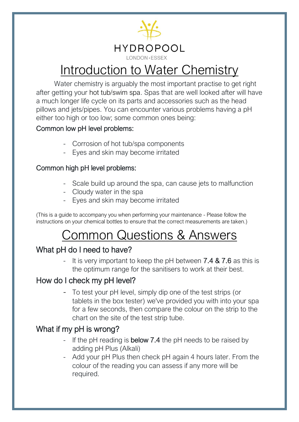

## Introduction to Water Chemistry

Water chemistry is arguably the most important practise to get right after getting your [hot tub](https://londonessexgroup.co.uk/view-all-hot-tubs/)[/swim spa.](https://londonessexgroup.co.uk/all-swim-spas/) Spas that are well looked after will have a much longer life cycle on its parts and accessories such as the head pillows and jets/pipes. You can encounter various problems having a pH either too high or too low; some common ones being:

#### Common low pH level problems:

- Corrosion of hot tub/spa components
- Eyes and skin may become irritated

#### Common high pH level problems:

- Scale build up around the spa, can cause jets to malfunction
- Cloudy water in the spa
- Eyes and skin may become irritated

(This is a guide to accompany you when performing your maintenance - Please follow the instructions on your chemical bottles to ensure that the correct measurements are taken.)

## Common Questions & Answers

### What pH do I need to have?

It is very important to keep the pH between  $7.4 \& 7.6$  as this is the optimum range for the sanitisers to work at their best.

### How do I check my pH level?

To test your pH level, simply dip one of the test strips (or tablets in the box tester) we've provided you with into your spa for a few seconds, then compare the colour on the strip to the chart on the site of the test strip tube.

### What if my pH is wrong?

- If the pH reading is **below 7.4** the pH needs to be raised by adding pH Plus (Alkali)
- Add your pH Plus then check pH again 4 hours later. From the colour of the reading you can assess if any more will be required.